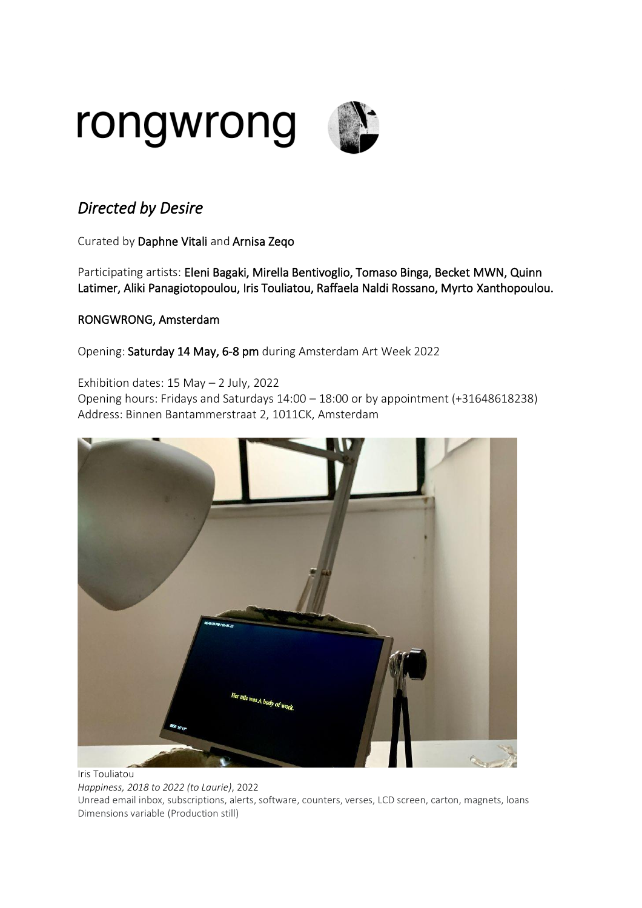

## *Directed by Desire*

Curated by Daphne Vitali and Arnisa Zeqo

Participating artists: Eleni Bagaki, Mirella Bentivoglio, Tomaso Binga, Becket MWN, Quinn Latimer, Aliki Panagiotopoulou, Iris Touliatou, Raffaela Naldi Rossano, Myrto Xanthopoulou.

## RONGWRONG, Amsterdam

Opening: Saturday 14 May, 6-8 pm during Amsterdam Art Week 2022

Exhibition dates: 15 May – 2 July, 2022

Opening hours: Fridays and Saturdays 14:00 – 18:00 or by appointment (+31648618238) Address: Binnen Bantammerstraat 2, 1011CK, Amsterdam



Iris Touliatou *Happiness, 2018 to 2022 (to Laurie)*, 2022 Unread email inbox, subscriptions, alerts, software, counters, verses, LCD screen, carton, magnets, loans Dimensions variable (Production still)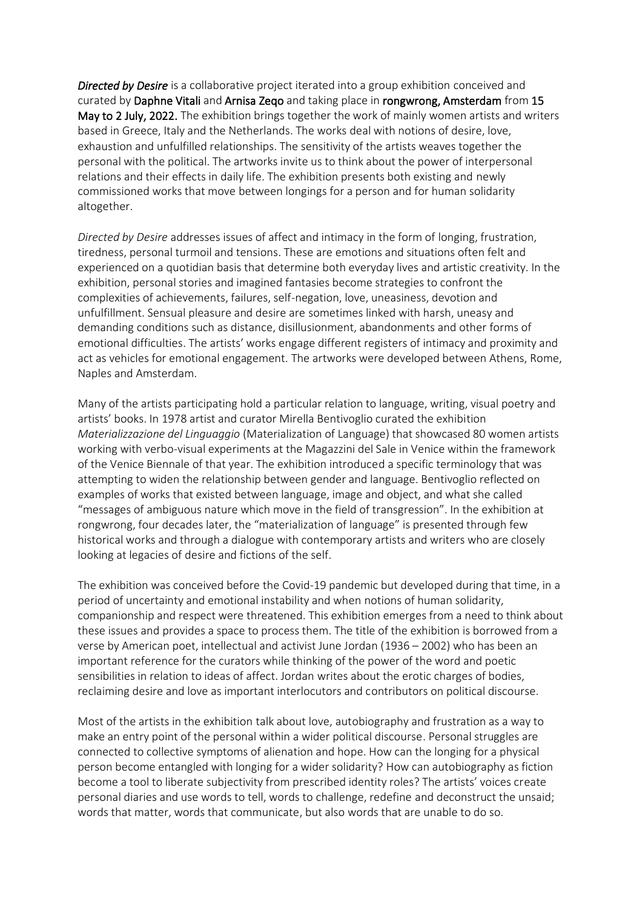*Directed by Desire* is a collaborative project iterated into a group exhibition conceived and curated by Daphne Vitali and Arnisa Zeqo and taking place in rongwrong, Amsterdam from 15 May to 2 July, 2022. The exhibition brings together the work of mainly women artists and writers based in Greece, Italy and the Netherlands. The works deal with notions of desire, love, exhaustion and unfulfilled relationships. The sensitivity of the artists weaves together the personal with the political. The artworks invite us to think about the power of interpersonal relations and their effects in daily life. The exhibition presents both existing and newly commissioned works that move between longings for a person and for human solidarity altogether.

*Directed by Desire* addresses issues of affect and intimacy in the form of longing, frustration, tiredness, personal turmoil and tensions. These are emotions and situations often felt and experienced on a quotidian basis that determine both everyday lives and artistic creativity. In the exhibition, personal stories and imagined fantasies become strategies to confront the complexities of achievements, failures, self-negation, love, uneasiness, devotion and unfulfillment. Sensual pleasure and desire are sometimes linked with harsh, uneasy and demanding conditions such as distance, disillusionment, abandonments and other forms of emotional difficulties. The artists' works engage different registers of intimacy and proximity and act as vehicles for emotional engagement. The artworks were developed between Athens, Rome, Naples and Amsterdam.

Many of the artists participating hold a particular relation to language, writing, visual poetry and artists' books. In 1978 artist and curator Mirella Bentivoglio curated the exhibition *Materializzazione del Linguaggio* (Materialization of Language) that showcased 80 women artists working with verbo-visual experiments at the Magazzini del Sale in Venice within the framework of the Venice Biennale of that year. The exhibition introduced a specific terminology that was attempting to widen the relationship between gender and language. Bentivoglio reflected on examples of works that existed between language, image and object, and what she called "messages of ambiguous nature which move in the field of transgression". In the exhibition at rongwrong, four decades later, the "materialization of language" is presented through few historical works and through a dialogue with contemporary artists and writers who are closely looking at legacies of desire and fictions of the self.

The exhibition was conceived before the Covid-19 pandemic but developed during that time, in a period of uncertainty and emotional instability and when notions of human solidarity, companionship and respect were threatened. This exhibition emerges from a need to think about these issues and provides a space to process them. The title of the exhibition is borrowed from a verse by American poet, intellectual and activist June Jordan (1936 – 2002) who has been an important reference for the curators while thinking of the power of the word and poetic sensibilities in relation to ideas of affect. Jordan writes about the erotic charges of bodies, reclaiming desire and love as important interlocutors and contributors on political discourse.

Most of the artists in the exhibition talk about love, autobiography and frustration as a way to make an entry point of the personal within a wider political discourse. Personal struggles are connected to collective symptoms of alienation and hope. How can the longing for a physical person become entangled with longing for a wider solidarity? How can autobiography as fiction become a tool to liberate subjectivity from prescribed identity roles? The artists' voices create personal diaries and use words to tell, words to challenge, redefine and deconstruct the unsaid; words that matter, words that communicate, but also words that are unable to do so.